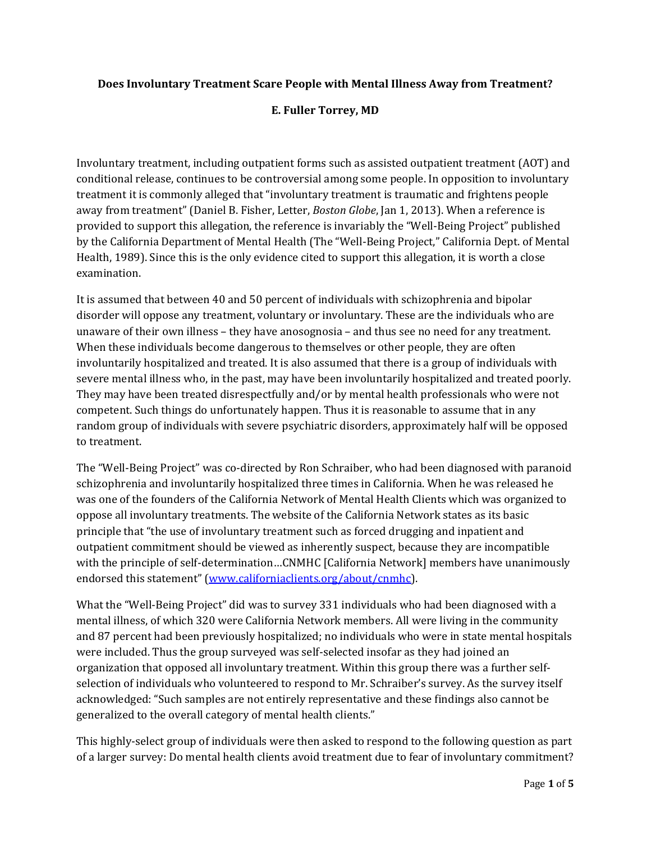## **Does Involuntary Treatment Scare People with Mental Illness Away from Treatment?**

## **E. Fuller Torrey, MD**

Involuntary treatment, including outpatient forms such as assisted outpatient treatment (AOT) and conditional release, continues to be controversial among some people. In opposition to involuntary treatment it is commonly alleged that "involuntary treatment is traumatic and frightens people away from treatment" (Daniel B. Fisher, Letter, *Boston Globe*, Jan 1, 2013). When a reference is provided to support this allegation, the reference is invariably the "Well-Being Project" published by the California Department of Mental Health (The "Well-Being Project," California Dept. of Mental Health, 1989). Since this is the only evidence cited to support this allegation, it is worth a close examination. 

It is assumed that between 40 and 50 percent of individuals with schizophrenia and bipolar disorder will oppose any treatment, voluntary or involuntary. These are the individuals who are unaware of their own illness – they have anosognosia – and thus see no need for any treatment. When these individuals become dangerous to themselves or other people, they are often involuntarily hospitalized and treated. It is also assumed that there is a group of individuals with severe mental illness who, in the past, may have been involuntarily hospitalized and treated poorly. They may have been treated disrespectfully and/or by mental health professionals who were not competent. Such things do unfortunately happen. Thus it is reasonable to assume that in any random group of individuals with severe psychiatric disorders, approximately half will be opposed to treatment.

The "Well-Being Project" was co-directed by Ron Schraiber, who had been diagnosed with paranoid schizophrenia and involuntarily hospitalized three times in California. When he was released he was one of the founders of the California Network of Mental Health Clients which was organized to oppose all involuntary treatments. The website of the California Network states as its basic principle that "the use of involuntary treatment such as forced drugging and inpatient and outpatient commitment should be viewed as inherently suspect, because they are incompatible with the principle of self-determination...CNMHC [California Network] members have unanimously endorsed this statement" (www.californiaclients.org/about/cnmhc).

What the "Well-Being Project" did was to survey 331 individuals who had been diagnosed with a mental illness, of which 320 were California Network members. All were living in the community and 87 percent had been previously hospitalized; no individuals who were in state mental hospitals were included. Thus the group surveyed was self-selected insofar as they had joined an organization that opposed all involuntary treatment. Within this group there was a further selfselection of individuals who volunteered to respond to Mr. Schraiber's survey. As the survey itself acknowledged: "Such samples are not entirely representative and these findings also cannot be generalized to the overall category of mental health clients."

This highly-select group of individuals were then asked to respond to the following question as part of a larger survey: Do mental health clients avoid treatment due to fear of involuntary commitment?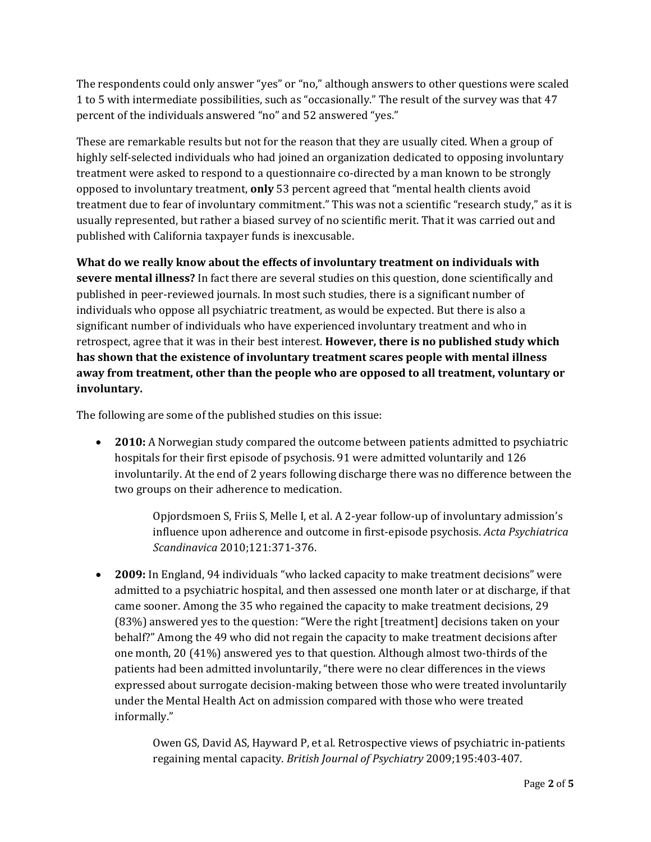The respondents could only answer "yes" or "no," although answers to other questions were scaled 1 to 5 with intermediate possibilities, such as "occasionally." The result of the survey was that 47 percent of the individuals answered "no" and 52 answered "yes."

These are remarkable results but not for the reason that they are usually cited. When a group of highly self-selected individuals who had joined an organization dedicated to opposing involuntary treatment were asked to respond to a questionnaire co-directed by a man known to be strongly opposed to involuntary treatment, only 53 percent agreed that "mental health clients avoid treatment due to fear of involuntary commitment." This was not a scientific "research study," as it is usually represented, but rather a biased survey of no scientific merit. That it was carried out and published with California taxpayer funds is inexcusable.

**What do we really know about the effects of involuntary treatment on individuals with severe mental illness?** In fact there are several studies on this question, done scientifically and published in peer-reviewed journals. In most such studies, there is a significant number of individuals who oppose all psychiatric treatment, as would be expected. But there is also a significant number of individuals who have experienced involuntary treatment and who in retrospect, agree that it was in their best interest. **However, there is no published study which has shown that the existence of involuntary treatment scares people with mental illness away from treatment, other than the people who are opposed to all treatment, voluntary or involuntary.**

The following are some of the published studies on this issue:

• **2010:** A Norwegian study compared the outcome between patients admitted to psychiatric hospitals for their first episode of psychosis. 91 were admitted voluntarily and 126 involuntarily. At the end of 2 years following discharge there was no difference between the two groups on their adherence to medication.

> Opjordsmoen S, Friis S, Melle I, et al. A 2-year follow-up of involuntary admission's influence upon adherence and outcome in first‐episode psychosis. *Acta Psychiatrica Scandinavica* 2010;121:371‐376.

• **2009:** In England, 94 individuals "who lacked capacity to make treatment decisions" were admitted to a psychiatric hospital, and then assessed one month later or at discharge, if that came sooner. Among the 35 who regained the capacity to make treatment decisions, 29 (83%) answered yes to the question: "Were the right [treatment] decisions taken on your behalf?" Among the 49 who did not regain the capacity to make treatment decisions after one month,  $20(41\%)$  answered yes to that question. Although almost two-thirds of the patients had been admitted involuntarily, "there were no clear differences in the views expressed about surrogate decision-making between those who were treated involuntarily under the Mental Health Act on admission compared with those who were treated informally." 

> Owen GS, David AS, Hayward P, et al. Retrospective views of psychiatric in-patients regaining mental capacity. *British Journal of Psychiatry* 2009;195:403‐407.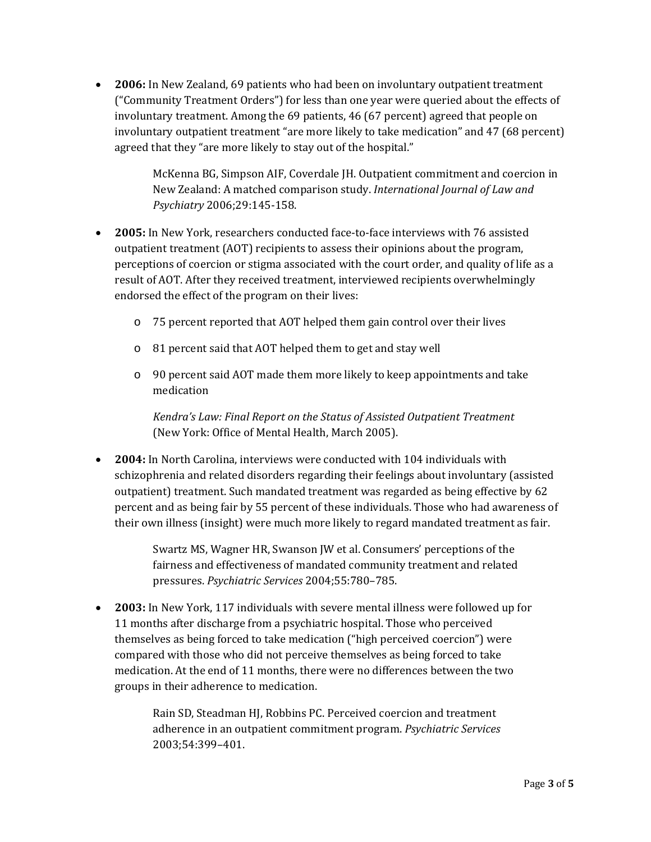• 2006: In New Zealand, 69 patients who had been on involuntary outpatient treatment ("Community Treatment Orders") for less than one year were queried about the effects of involuntary treatment. Among the  $69$  patients,  $46$  ( $67$  percent) agreed that people on involuntary outpatient treatment "are more likely to take medication" and 47 (68 percent) agreed that they "are more likely to stay out of the hospital."

> McKenna BG, Simpson AIF, Coverdale JH. Outpatient commitment and coercion in New Zealand: A matched comparison study. *International Journal of Law and Psychiatry* 2006;29:145‐158.

- **2005:** In New York, researchers conducted face-to-face interviews with 76 assisted outpatient treatment (AOT) recipients to assess their opinions about the program, perceptions of coercion or stigma associated with the court order, and quality of life as a result of AOT. After they received treatment, interviewed recipients overwhelmingly endorsed the effect of the program on their lives:
	- o 75 percent reported that AOT helped them gain control over their lives
	- o 81 percent said that AOT helped them to get and stay well
	- $\circ$  90 percent said AOT made them more likely to keep appointments and take medication

*Kendra's Law: Final Report on the Status of Assisted Outpatient Treatment* (New York: Office of Mental Health, March 2005).

• 2004: In North Carolina, interviews were conducted with 104 individuals with schizophrenia and related disorders regarding their feelings about involuntary (assisted outpatient) treatment. Such mandated treatment was regarded as being effective by 62 percent and as being fair by 55 percent of these individuals. Those who had awareness of their own illness (insight) were much more likely to regard mandated treatment as fair.

> Swartz MS, Wagner HR, Swanson JW et al. Consumers' perceptions of the fairness and effectiveness of mandated community treatment and related pressures. *Psychiatric Services* 2004;55:780–785.

• 2003: In New York, 117 individuals with severe mental illness were followed up for 11 months after discharge from a psychiatric hospital. Those who perceived themselves as being forced to take medication ("high perceived coercion") were compared with those who did not perceive themselves as being forced to take medication. At the end of 11 months, there were no differences between the two groups in their adherence to medication.

> Rain SD, Steadman HJ, Robbins PC. Perceived coercion and treatment adherence in an outpatient commitment program. *Psychiatric Services* 2003;54:399–401.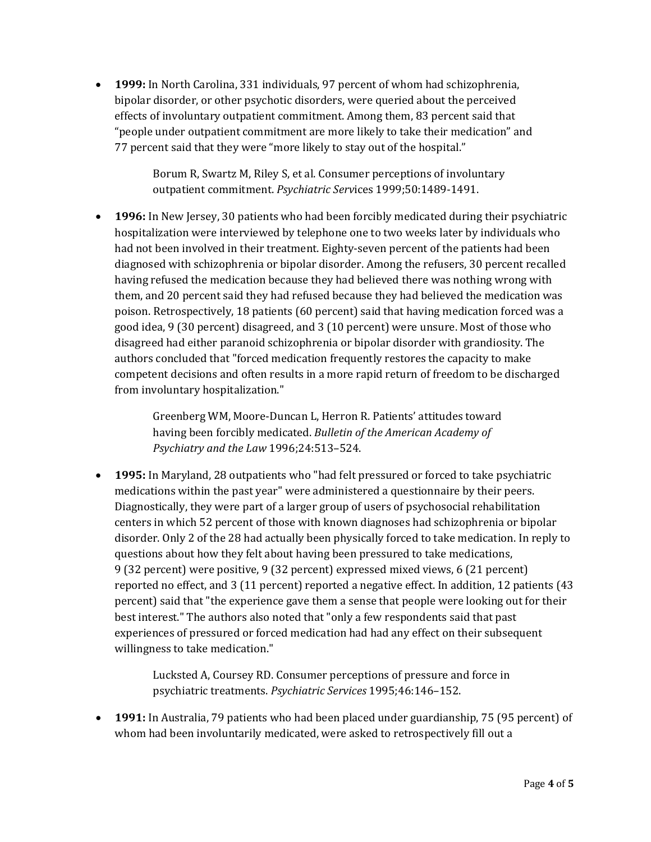• **1999:** In North Carolina, 331 individuals, 97 percent of whom had schizophrenia, bipolar disorder, or other psychotic disorders, were queried about the perceived effects of involuntary outpatient commitment. Among them, 83 percent said that "people under outpatient commitment are more likely to take their medication" and 77 percent said that they were "more likely to stay out of the hospital."

> Borum R, Swartz M, Riley S, et al. Consumer perceptions of involuntary outpatient commitment. *Psychiatric Services* 1999;50:1489-1491.

• **1996:** In New Jersey, 30 patients who had been forcibly medicated during their psychiatric hospitalization were interviewed by telephone one to two weeks later by individuals who had not been involved in their treatment. Eighty-seven percent of the patients had been diagnosed with schizophrenia or bipolar disorder. Among the refusers, 30 percent recalled having refused the medication because they had believed there was nothing wrong with them, and 20 percent said they had refused because they had believed the medication was poison. Retrospectively, 18 patients (60 percent) said that having medication forced was a good idea, 9 (30 percent) disagreed, and 3 (10 percent) were unsure. Most of those who disagreed had either paranoid schizophrenia or bipolar disorder with grandiosity. The authors concluded that "forced medication frequently restores the capacity to make competent decisions and often results in a more rapid return of freedom to be discharged from involuntary hospitalization."

> Greenberg WM, Moore-Duncan L, Herron R. Patients' attitudes toward having been forcibly medicated. *Bulletin of the American Academy of Psychiatry and the Law* 1996;24:513–524.

• **1995:** In Maryland, 28 outpatients who "had felt pressured or forced to take psychiatric medications within the past year" were administered a questionnaire by their peers. Diagnostically, they were part of a larger group of users of psychosocial rehabilitation centers in which 52 percent of those with known diagnoses had schizophrenia or bipolar disorder. Only 2 of the 28 had actually been physically forced to take medication. In reply to questions about how they felt about having been pressured to take medications, 9 (32 percent) were positive, 9 (32 percent) expressed mixed views, 6 (21 percent) reported no effect, and  $3(11$  percent) reported a negative effect. In addition, 12 patients  $(43)$ percent) said that "the experience gave them a sense that people were looking out for their best interest." The authors also noted that "only a few respondents said that past experiences of pressured or forced medication had had any effect on their subsequent willingness to take medication."

> Lucksted A, Coursey RD. Consumer perceptions of pressure and force in psychiatric treatments. *Psychiatric Services* 1995;46:146–152.

• **1991:** In Australia, 79 patients who had been placed under guardianship, 75 (95 percent) of whom had been involuntarily medicated, were asked to retrospectively fill out a